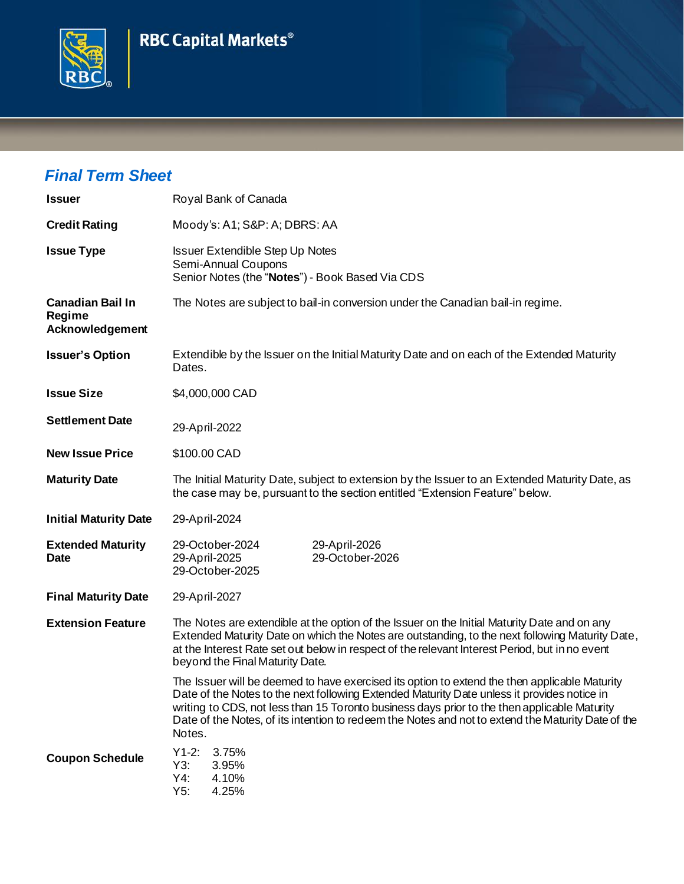## **RBC Capital Markets®**



## *Final Term Sheet*

| <b>Issuer</b>                                        | Royal Bank of Canada                                                                                                                                                                                                                                                                                                                                                                                         |  |  |
|------------------------------------------------------|--------------------------------------------------------------------------------------------------------------------------------------------------------------------------------------------------------------------------------------------------------------------------------------------------------------------------------------------------------------------------------------------------------------|--|--|
| <b>Credit Rating</b>                                 | Moody's: A1; S&P: A; DBRS: AA                                                                                                                                                                                                                                                                                                                                                                                |  |  |
| <b>Issue Type</b>                                    | <b>Issuer Extendible Step Up Notes</b><br>Semi-Annual Coupons<br>Senior Notes (the "Notes") - Book Based Via CDS                                                                                                                                                                                                                                                                                             |  |  |
| <b>Canadian Bail In</b><br>Regime<br>Acknowledgement | The Notes are subject to bail-in conversion under the Canadian bail-in regime.                                                                                                                                                                                                                                                                                                                               |  |  |
| <b>Issuer's Option</b>                               | Extendible by the Issuer on the Initial Maturity Date and on each of the Extended Maturity<br>Dates.                                                                                                                                                                                                                                                                                                         |  |  |
| <b>Issue Size</b>                                    | \$4,000,000 CAD                                                                                                                                                                                                                                                                                                                                                                                              |  |  |
| <b>Settlement Date</b>                               | 29-April-2022                                                                                                                                                                                                                                                                                                                                                                                                |  |  |
| <b>New Issue Price</b>                               | \$100.00 CAD                                                                                                                                                                                                                                                                                                                                                                                                 |  |  |
| <b>Maturity Date</b>                                 | The Initial Maturity Date, subject to extension by the Issuer to an Extended Maturity Date, as<br>the case may be, pursuant to the section entitled "Extension Feature" below.                                                                                                                                                                                                                               |  |  |
| <b>Initial Maturity Date</b>                         | 29-April-2024                                                                                                                                                                                                                                                                                                                                                                                                |  |  |
| <b>Extended Maturity</b><br><b>Date</b>              | 29-October-2024<br>29-April-2026<br>29-October-2026<br>29-April-2025<br>29-October-2025                                                                                                                                                                                                                                                                                                                      |  |  |
| <b>Final Maturity Date</b>                           | 29-April-2027                                                                                                                                                                                                                                                                                                                                                                                                |  |  |
| <b>Extension Feature</b>                             | The Notes are extendible at the option of the Issuer on the Initial Maturity Date and on any<br>Extended Maturity Date on which the Notes are outstanding, to the next following Maturity Date,<br>at the Interest Rate set out below in respect of the relevant Interest Period, but in no event<br>beyond the Final Maturity Date.                                                                         |  |  |
|                                                      | The Issuer will be deemed to have exercised its option to extend the then applicable Maturity<br>Date of the Notes to the next following Extended Maturity Date unless it provides notice in<br>writing to CDS, not less than 15 Toronto business days prior to the then applicable Maturity<br>Date of the Notes, of its intention to redeem the Notes and not to extend the Maturity Date of the<br>Notes. |  |  |
| <b>Coupon Schedule</b>                               | $Y1-2:$<br>3.75%<br>Y3:<br>3.95%<br>Y4:<br>4.10%<br>Y5:<br>4.25%                                                                                                                                                                                                                                                                                                                                             |  |  |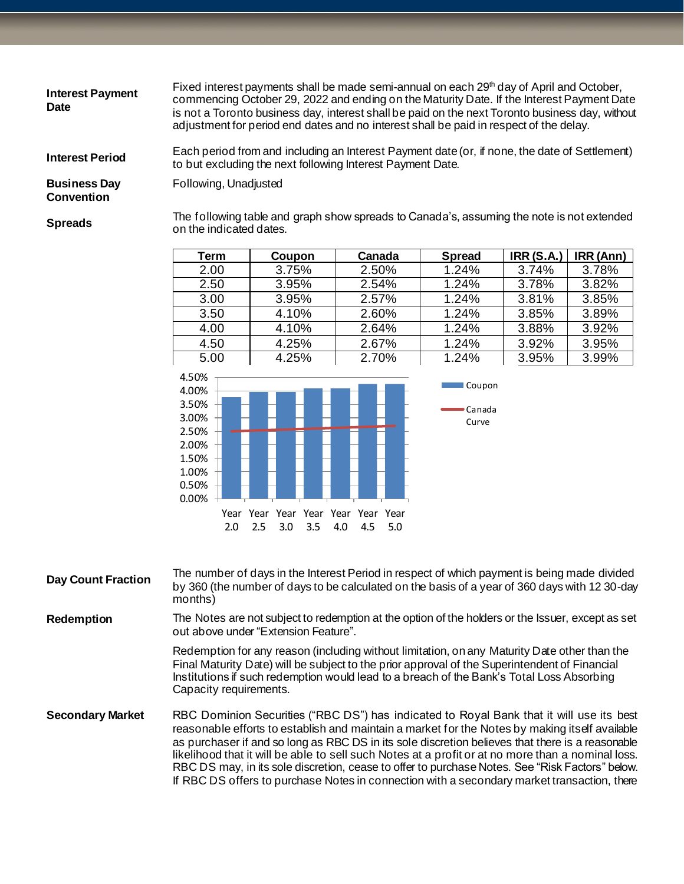| <b>Interest Payment</b><br><b>Date</b>   | Fixed interest payments shall be made semi-annual on each 29 <sup>th</sup> day of April and October,<br>commencing October 29, 2022 and ending on the Maturity Date. If the Interest Payment Date<br>is not a Toronto business day, interest shall be paid on the next Toronto business day, without<br>adjustment for period end dates and no interest shall be paid in respect of the delay. |
|------------------------------------------|------------------------------------------------------------------------------------------------------------------------------------------------------------------------------------------------------------------------------------------------------------------------------------------------------------------------------------------------------------------------------------------------|
| <b>Interest Period</b>                   | Each period from and including an Interest Payment date (or, if none, the date of Settlement)<br>to but excluding the next following Interest Payment Date.                                                                                                                                                                                                                                    |
| <b>Business Day</b><br><b>Convention</b> | Following, Unadjusted                                                                                                                                                                                                                                                                                                                                                                          |
| <b>Spreads</b>                           | The following table and graph show spreads to Canada's, assuming the note is not extended<br>on the indicated dates.                                                                                                                                                                                                                                                                           |

| Term | Coupon | Canada | <b>Spread</b> | <b>IRR (S.A.)</b> | IRR (Ann) |
|------|--------|--------|---------------|-------------------|-----------|
| 2.00 | 3.75%  | 2.50%  | 1.24%         | 3.74%             | 3.78%     |
| 2.50 | 3.95%  | 2.54%  | 1.24%         | 3.78%             | 3.82%     |
| 3.00 | 3.95%  | 2.57%  | 1.24%         | 3.81%             | 3.85%     |
| 3.50 | 4.10%  | 2.60%  | 1.24%         | 3.85%             | 3.89%     |
| 4.00 | 4.10%  | 2.64%  | 1.24%         | 3.88%             | 3.92%     |
| 4.50 | 4.25%  | 2.67%  | 1.24%         | 3.92%             | 3.95%     |
| 5.00 | 4.25%  | 2.70%  | 1.24%         | 3.95%             | 3.99%     |



| <b>Day Count Fraction</b> | The number of days in the Interest Period in respect of which payment is being made divided<br>by 360 (the number of days to be calculated on the basis of a year of 360 days with 12 30-day<br>months)                                                                                                              |
|---------------------------|----------------------------------------------------------------------------------------------------------------------------------------------------------------------------------------------------------------------------------------------------------------------------------------------------------------------|
| <b>Redemption</b>         | The Notes are not subject to redemption at the option of the holders or the Issuer, except as set<br>out above under "Extension Feature".                                                                                                                                                                            |
|                           | Redemption for any reason (including without limitation, on any Maturity Date other than the<br>Final Maturity Date) will be subject to the prior approval of the Superintendent of Financial<br>Institutions if such redemption would lead to a breach of the Bank's Total Loss Absorbing<br>Capacity requirements. |

**Secondary Market** RBC Dominion Securities ("RBC DS") has indicated to Royal Bank that it will use its best reasonable efforts to establish and maintain a market for the Notes by making itself available as purchaser if and so long as RBC DS in its sole discretion believes that there is a reasonable likelihood that it will be able to sell such Notes at a profit or at no more than a nominal loss. RBC DS may, in its sole discretion, cease to offer to purchase Notes. See "Risk Factors" below. If RBC DS offers to purchase Notes in connection with a secondary market transaction, there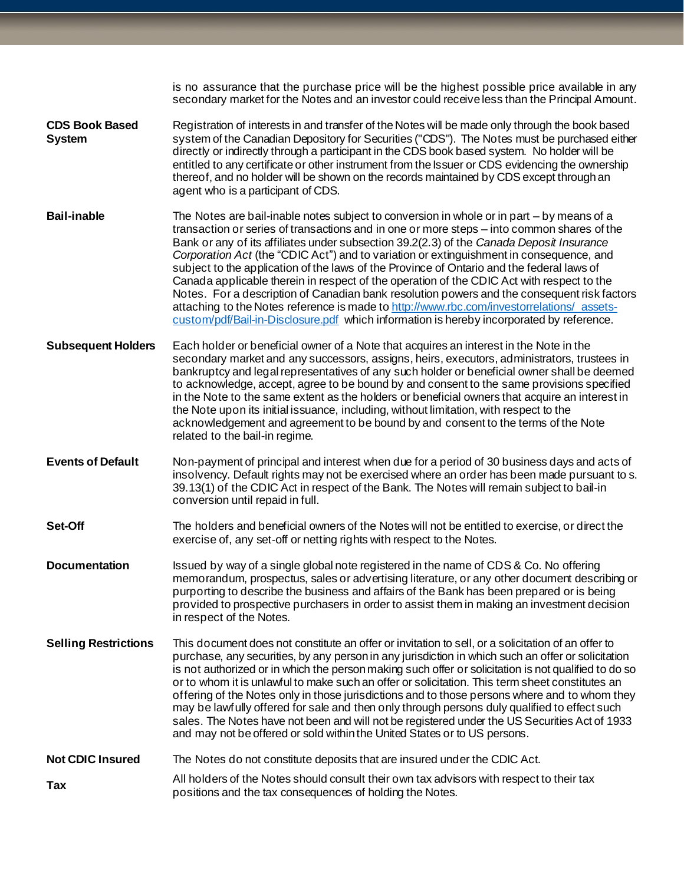|                                        | is no assurance that the purchase price will be the highest possible price available in any<br>secondary market for the Notes and an investor could receive less than the Principal Amount.                                                                                                                                                                                                                                                                                                                                                                                                                                                                                                                                                                                                                                                                     |
|----------------------------------------|-----------------------------------------------------------------------------------------------------------------------------------------------------------------------------------------------------------------------------------------------------------------------------------------------------------------------------------------------------------------------------------------------------------------------------------------------------------------------------------------------------------------------------------------------------------------------------------------------------------------------------------------------------------------------------------------------------------------------------------------------------------------------------------------------------------------------------------------------------------------|
| <b>CDS Book Based</b><br><b>System</b> | Registration of interests in and transfer of the Notes will be made only through the book based<br>system of the Canadian Depository for Securities ("CDS"). The Notes must be purchased either<br>directly or indirectly through a participant in the CDS book based system. No holder will be<br>entitled to any certificate or other instrument from the Issuer or CDS evidencing the ownership<br>thereof, and no holder will be shown on the records maintained by CDS except through an<br>agent who is a participant of CDS.                                                                                                                                                                                                                                                                                                                             |
| <b>Bail-inable</b>                     | The Notes are bail-inable notes subject to conversion in whole or in part – by means of a<br>transaction or series of transactions and in one or more steps - into common shares of the<br>Bank or any of its affiliates under subsection 39.2(2.3) of the Canada Deposit Insurance<br>Corporation Act (the "CDIC Act") and to variation or extinguishment in consequence, and<br>subject to the application of the laws of the Province of Ontario and the federal laws of<br>Canada applicable therein in respect of the operation of the CDIC Act with respect to the<br>Notes. For a description of Canadian bank resolution powers and the consequent risk factors<br>attaching to the Notes reference is made to http://www.rbc.com/investorrelations/assets-<br>custom/pdf/Bail-in-Disclosure.pdf which information is hereby incorporated by reference. |
| <b>Subsequent Holders</b>              | Each holder or beneficial owner of a Note that acquires an interest in the Note in the<br>secondary market and any successors, assigns, heirs, executors, administrators, trustees in<br>bankruptcy and legal representatives of any such holder or beneficial owner shall be deemed<br>to acknowledge, accept, agree to be bound by and consent to the same provisions specified<br>in the Note to the same extent as the holders or beneficial owners that acquire an interest in<br>the Note upon its initial issuance, including, without limitation, with respect to the<br>acknowledgement and agreement to be bound by and consent to the terms of the Note<br>related to the bail-in regime.                                                                                                                                                            |
| <b>Events of Default</b>               | Non-payment of principal and interest when due for a period of 30 business days and acts of<br>insolvency. Default rights may not be exercised where an order has been made pursuant to s.<br>39.13(1) of the CDIC Act in respect of the Bank. The Notes will remain subject to bail-in<br>conversion until repaid in full.                                                                                                                                                                                                                                                                                                                                                                                                                                                                                                                                     |
| Set-Off                                | The holders and beneficial owners of the Notes will not be entitled to exercise, or direct the<br>exercise of, any set-off or netting rights with respect to the Notes.                                                                                                                                                                                                                                                                                                                                                                                                                                                                                                                                                                                                                                                                                         |
| <b>Documentation</b>                   | Issued by way of a single global note registered in the name of CDS & Co. No offering<br>memorandum, prospectus, sales or advertising literature, or any other document describing or<br>purporting to describe the business and affairs of the Bank has been prepared or is being<br>provided to prospective purchasers in order to assist them in making an investment decision<br>in respect of the Notes.                                                                                                                                                                                                                                                                                                                                                                                                                                                   |
| <b>Selling Restrictions</b>            | This document does not constitute an offer or invitation to sell, or a solicitation of an offer to<br>purchase, any securities, by any person in any jurisdiction in which such an offer or solicitation<br>is not authorized or in which the person making such offer or solicitation is not qualified to do so<br>or to whom it is unlawful to make such an offer or solicitation. This term sheet constitutes an<br>offering of the Notes only in those jurisdictions and to those persons where and to whom they<br>may be lawfully offered for sale and then only through persons duly qualified to effect such<br>sales. The Notes have not been and will not be registered under the US Securities Act of 1933<br>and may not be offered or sold within the United States or to US persons.                                                              |
| <b>Not CDIC Insured</b>                | The Notes do not constitute deposits that are insured under the CDIC Act.                                                                                                                                                                                                                                                                                                                                                                                                                                                                                                                                                                                                                                                                                                                                                                                       |
| Tax                                    | All holders of the Notes should consult their own tax advisors with respect to their tax<br>positions and the tax consequences of holding the Notes.                                                                                                                                                                                                                                                                                                                                                                                                                                                                                                                                                                                                                                                                                                            |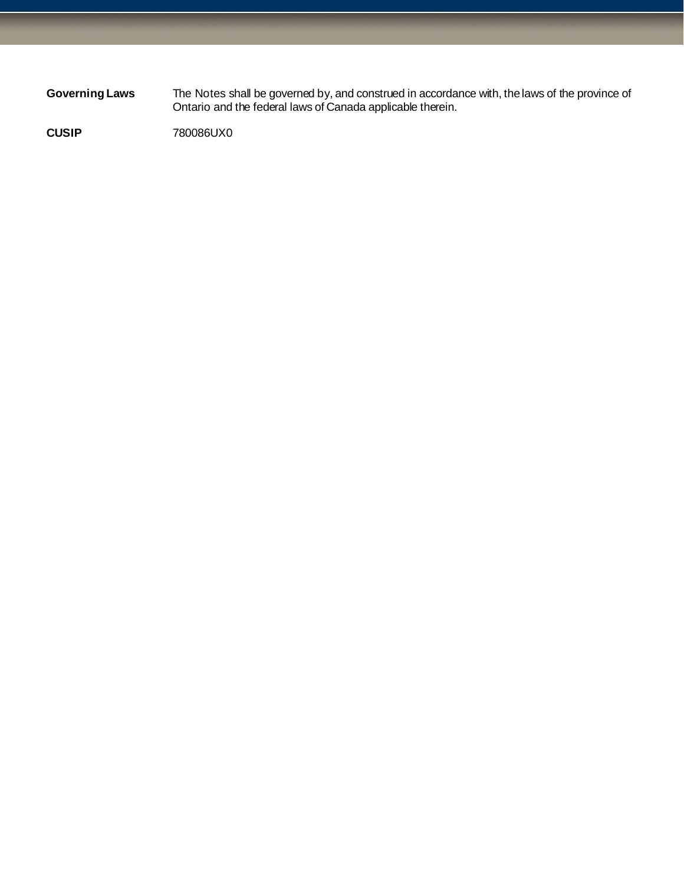**Governing Laws** The Notes shall be governed by, and construed in accordance with, the laws of the province of Ontario and the federal laws of Canada applicable therein.

**CUSIP** 780086UX0